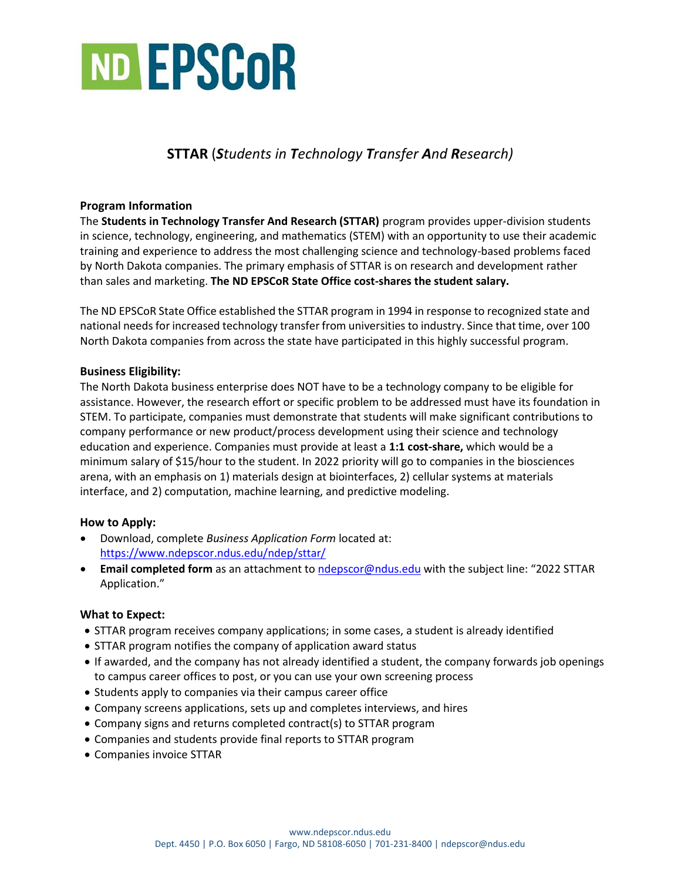

# **STTAR** (*Students in Technology Transfer And Research)*

### **Program Information**

The **Students in Technology Transfer And Research (STTAR)** program provides upper-division students in science, technology, engineering, and mathematics (STEM) with an opportunity to use their academic training and experience to address the most challenging science and technology-based problems faced by North Dakota companies. The primary emphasis of STTAR is on research and development rather than sales and marketing. **The ND EPSCoR State Office cost-shares the student salary.**

The ND EPSCoR State Office established the STTAR program in 1994 in response to recognized state and national needs for increased technology transfer from universities to industry. Since that time, over 100 North Dakota companies from across the state have participated in this highly successful program.

### **Business Eligibility:**

The North Dakota business enterprise does NOT have to be a technology company to be eligible for assistance. However, the research effort or specific problem to be addressed must have its foundation in STEM. To participate, companies must demonstrate that students will make significant contributions to company performance or new product/process development using their science and technology education and experience. Companies must provide at least a **1:1 cost-share,** which would be a minimum salary of \$15/hour to the student. In 2022 priority will go to companies in the biosciences arena, with an emphasis on 1) materials design at biointerfaces, 2) cellular systems at materials interface, and 2) computation, machine learning, and predictive modeling.

### **How to Apply:**

- Download, complete *Business Application Form* located at: <https://www.ndepscor.ndus.edu/ndep/sttar/>
- **Email completed form** as an attachment to [ndepscor@ndus.edu](mailto:ndepscor@ndus.edu) with the subject line: "2022 STTAR Application."

### **What to Expect:**

- STTAR program receives company applications; in some cases, a student is already identified
- STTAR program notifies the company of application award status
- If awarded, and the company has not already identified a student, the company forwards job openings to campus career offices to post, or you can use your own screening process
- Students apply to companies via their campus career office
- Company screens applications, sets up and completes interviews, and hires
- Company signs and returns completed contract(s) to STTAR program
- Companies and students provide final reports to STTAR program
- Companies invoice STTAR